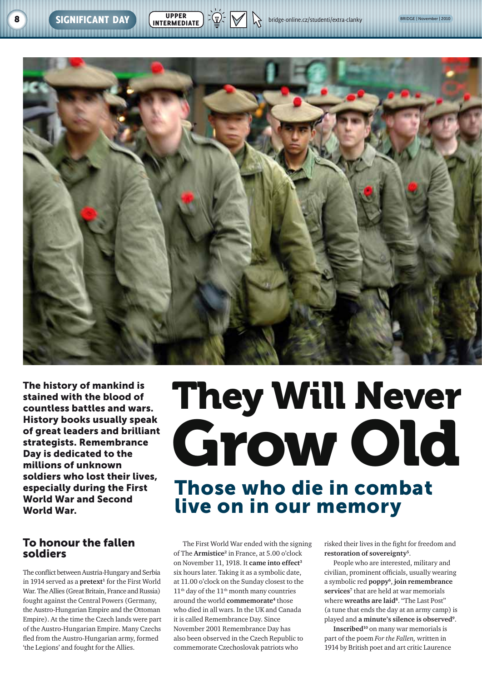

The history of mankind is stained with the blood of countless battles and wars. History books usually speak of great leaders and brilliant strategists. Remembrance Day is dedicated to the millions of unknown soldiers who lost their lives, especially during the First World War and Second World War.

## To honour the fallen soldiers

The conflict between Austria-Hungary and Serbia in 1914 served as a **pretext**<sup>1</sup> for the First World War. The Allies (Great Britain, France and Russia) fought against the Central Powers (Germany, the Austro-Hungarian Empire and the Ottoman Empire). At the time the Czech lands were part of the Austro-Hungarian Empire. Many Czechs fled from the Austro-Hungarian army, formed 'the Legions' and fought for the Allies.

# They Will Never Grow Old Those who die in combat

## live on in our memory

The First World War ended with the signing of The **Armistice2** in France, at 5.00 o'clock on November 11, 1918. It **came into effect3** six hours later. Taking it as a symbolic date, at 11.00 o'clock on the Sunday closest to the  $11<sup>th</sup>$  day of the  $11<sup>th</sup>$  month many countries around the world **commemorate**<sup>4</sup> those who died in all wars. In the UK and Canada it is called Remembrance Day. Since November 2001 Remembrance Day has also been observed in the Czech Republic to commemorate Czechoslovak patriots who

risked their lives in the fight for freedom and **restoration of sovereignty5**.

People who are interested, military and civilian, prominent officials, usually wearing a symbolic red **poppy6**, **join remembrance services7** that are held at war memorials where **wreaths are laid8**. "The Last Post" (a tune that ends the day at an army camp) is played and **a minute's silence is observed9**.

**Inscribed10** on many war memorials is part of the poem *For the Fallen,* written in 1914 by British poet and art critic Laurence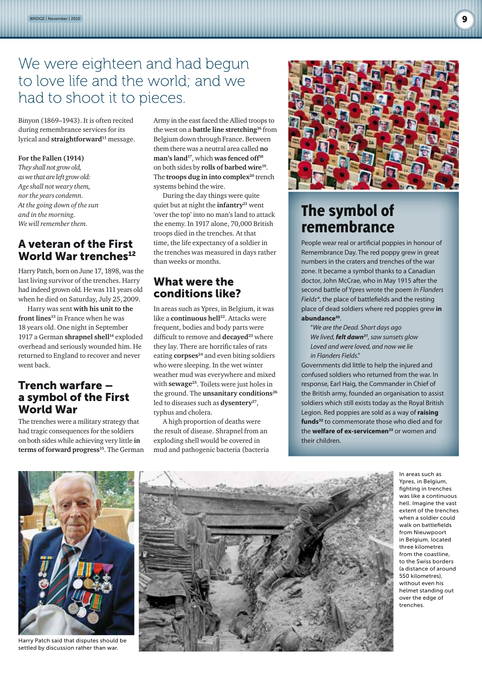## We were eighteen and had begun to love life and the world; and we had to shoot it to pieces.

Binyon (1869–1943). It is often recited during remembrance services for its lyrical and **straightforward**<sup>11</sup> message.

#### **For the Fallen (1914)**

*They shall not grow old, as we that are left grow old: Age shall not weary them, nor the years condemn. At the going down of the sun and in the morning. We will remember them.*

## A veteran of the First World War trenches<sup>12</sup>

Harry Patch, born on June 17, 1898, was the last living survivor of the trenches. Harry had indeed grown old*.* He was 111 years old when he died on Saturday, July 25,2009.

Harry was sent **with his unit to the**  front lines<sup>13</sup> in France when he was 18 years old. One night in September 1917 a German **shrapnel shell**<sup>14</sup> exploded overhead and seriously wounded him. He returned to England to recover and never went back.

## Trench warfare – a symbol of the First World War

The trenches were a military strategy that had tragic consequences for the soldiers on both sides while achieving very little **in**  terms of forward progress<sup>15</sup>. The German Army in the east faced the Allied troops to the west on a **battle line stretching16** from Belgium down through France. Between them there was a neutral area called **no man's land17**, which **was fenced off18** on both sides by **rolls of barbed wire19**. The **troops dug in into complex**<sup>20</sup> trench systems behind the wire.

During the day things were quite quiet but at night the **infantry**<sup>21</sup> went 'over the top' into no man's land to attack the enemy. In 1917 alone, 70,000 British troops died in the trenches. At that time, the life expectancy of a soldier in the trenches was measured in days rather than weeks or months.

## What were the conditions like?

In areas such as Ypres, in Belgium, it was like a **continuous hell**<sup>22</sup>. Attacks were frequent, bodies and body parts were difficult to remove and **decayed**<sup>23</sup> where they lay. There are horrific tales of rats eating **corpses**<sup>24</sup> and even biting soldiers who were sleeping. In the wet winter weather mud was everywhere and mixed with **sewage**<sup>25</sup>. Toilets were just holes in the ground. The **unsanitary conditions**<sup>26</sup> led to diseases such as **dysentery**<sup>27</sup>, typhus and cholera.

A high proportion of deaths were the result of disease. Shrapnel from an exploding shell would be covered in mud and pathogenic bacteria (bacteria



## The symbol of remembrance

People wear real or artificial poppies in honour of Remembrance Day. The red poppy grew in great numbers in the craters and trenches of the war zone. It became a symbol thanks to a Canadian doctor, John McCrae, who in May 1915 after the second battle of Ypres wrote the poem *In Flanders Fields\**, the place of battlefields and the resting place of dead soldiers where red poppies grew **in abundance30**.

"*We are the Dead. Short days ago We lived, felt dawn31, saw sunsets glow Loved and were loved, and now we lie in Flanders Fields*."

Governments did little to help the injured and confused soldiers who returned from the war. In response, Earl Haig, the Commander in Chief of the British army, founded an organisation to assist soldiers which still exists today as the Royal British Legion. Red poppies are sold as a way of **raising funds32** to commemorate those who died and for the **welfare of ex-servicemen33** or women and their children.



Harry Patch said that disputes should be settled by discussion rather than war.



In areas such as Ypres, in Belgium, fighting in trenches was like a continuous hell. Imagine the vast extent of the trenches when a soldier could walk on battlefields from Nieuwpoort in Belgium, located three kilometres from the coastline, to the Swiss borders (a distance of around 550 kilometres), without even his helmet standing out over the edge of trenches.